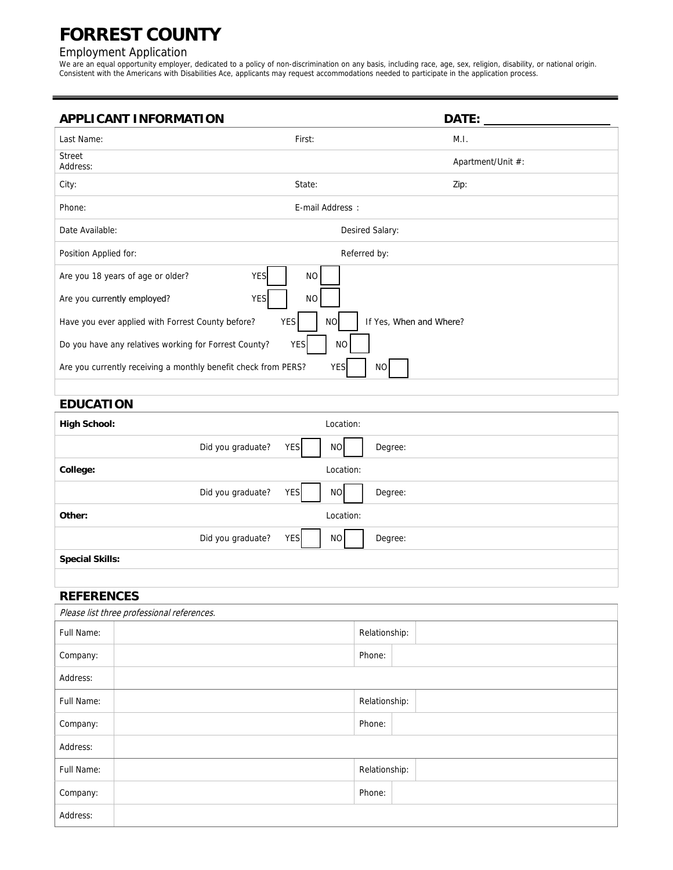# **FORREST COUNTY**

#### Employment Application

We are an equal opportunity employer, dedicated to a policy of non-discrimination on any basis, including race, age, sex, religion, disability, or national origin. Consistent with the Americans with Disabilities Ace, applicants may request accommodations needed to participate in the application process.

| <b>APPLICANT INFORMATION</b>                                                                            |                  | DATE:             |  |  |  |
|---------------------------------------------------------------------------------------------------------|------------------|-------------------|--|--|--|
| Last Name:                                                                                              | First:           | M.I.              |  |  |  |
| <b>Street</b><br>Address:                                                                               |                  | Apartment/Unit #: |  |  |  |
| City:                                                                                                   | State:           | Zip:              |  |  |  |
| Phone:                                                                                                  | E-mail Address : |                   |  |  |  |
| Date Available:                                                                                         |                  | Desired Salary:   |  |  |  |
| Position Applied for:                                                                                   |                  | Referred by:      |  |  |  |
| Are you 18 years of age or older?<br><b>YES</b>                                                         | <b>NO</b>        |                   |  |  |  |
| Are you currently employed?<br><b>YES</b>                                                               | <b>NO</b>        |                   |  |  |  |
| If Yes, When and Where?<br>Have you ever applied with Forrest County before?<br><b>YES</b><br><b>NO</b> |                  |                   |  |  |  |
| Do you have any relatives working for Forrest County?                                                   | <b>YES</b><br>NO |                   |  |  |  |
| Are you currently receiving a monthly benefit check from PERS?<br><b>YES</b><br>NO                      |                  |                   |  |  |  |
|                                                                                                         |                  |                   |  |  |  |

## **EDUCATION**

| <b>High School:</b>    | Location:                          |  |  |  |
|------------------------|------------------------------------|--|--|--|
| Did you graduate?      | <b>YES</b><br><b>NO</b><br>Degree: |  |  |  |
| College:               | Location:                          |  |  |  |
| Did you graduate?      | <b>YES</b><br><b>NO</b><br>Degree: |  |  |  |
| Other:                 | Location:                          |  |  |  |
| Did you graduate?      | <b>YES</b><br>NO<br>Degree:        |  |  |  |
| <b>Special Skills:</b> |                                    |  |  |  |
|                        |                                    |  |  |  |

## **REFERENCES**

| Please list three professional references. |  |               |  |  |  |
|--------------------------------------------|--|---------------|--|--|--|
| Full Name:                                 |  | Relationship: |  |  |  |
| Company:                                   |  | Phone:        |  |  |  |
| Address:                                   |  |               |  |  |  |
| Full Name:                                 |  | Relationship: |  |  |  |
| Company:                                   |  | Phone:        |  |  |  |
| Address:                                   |  |               |  |  |  |
| Full Name:                                 |  | Relationship: |  |  |  |
| Company:                                   |  | Phone:        |  |  |  |
| Address:                                   |  |               |  |  |  |